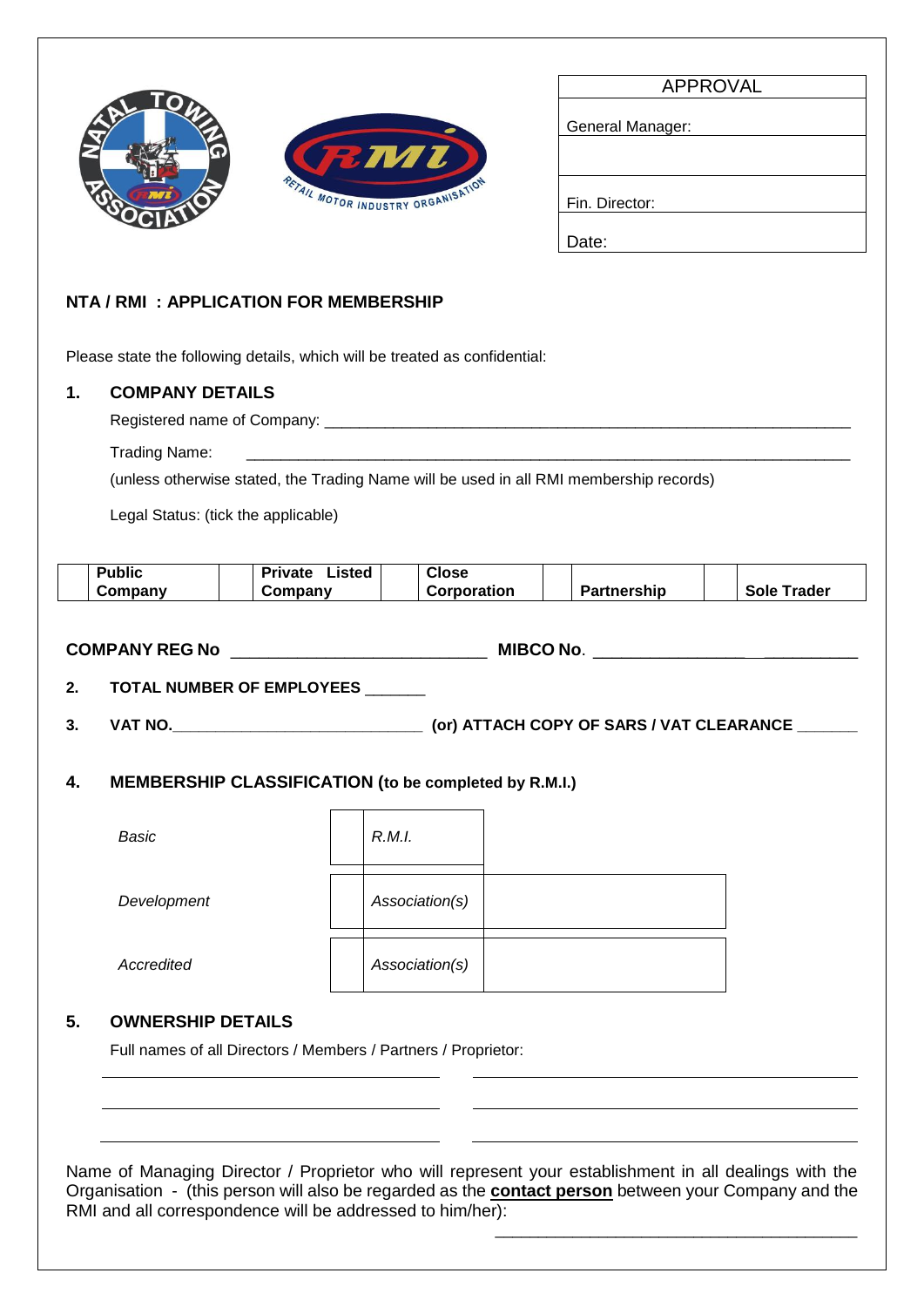



| <b>APPROVAL</b>  |  |  |
|------------------|--|--|
|                  |  |  |
| General Manager: |  |  |
|                  |  |  |
|                  |  |  |
|                  |  |  |
| Fin. Director:   |  |  |
|                  |  |  |
| Date:            |  |  |

## **NTA / RMI : APPLICATION FOR MEMBERSHIP**

Please state the following details, which will be treated as confidential:

## **1. COMPANY DETAILS**

Registered name of Company: \_\_\_\_\_\_\_\_\_\_\_\_\_\_\_\_\_\_\_\_\_\_\_\_\_\_\_\_\_\_\_\_\_\_\_\_\_\_\_\_\_\_\_\_\_\_\_\_\_\_\_\_\_\_\_\_\_\_\_\_\_

Trading Name:

(unless otherwise stated, the Trading Name will be used in all RMI membership records)

Legal Status: (tick the applicable)



Full names of all Directors / Members / Partners / Proprietor:

Name of Managing Director / Proprietor who will represent your establishment in all dealings with the Organisation - (this person will also be regarded as the **contact person** between your Company and the RMI and all correspondence will be addressed to him/her):

\_\_\_\_\_\_\_\_\_\_\_\_\_\_\_\_\_\_\_\_\_\_\_\_\_\_\_\_\_\_\_\_\_\_\_\_\_\_\_\_\_\_